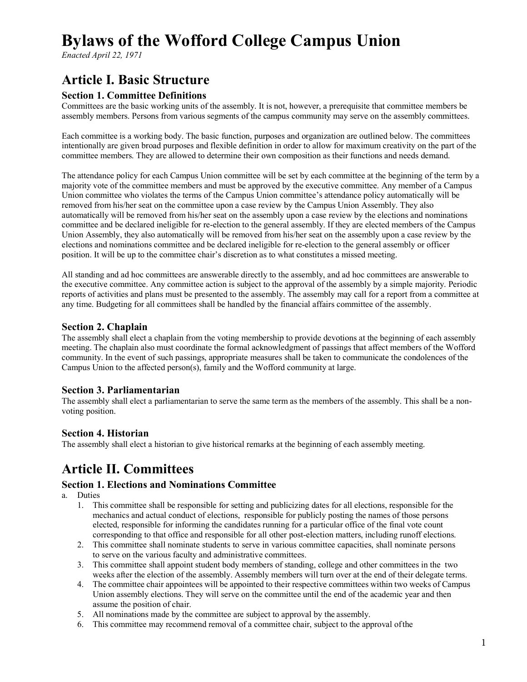# **Bylaws of the Wofford College Campus Union**

*Enacted April 22, 1971*

### **Article I. Basic Structure**

#### **Section 1. Committee Definitions**

Committees are the basic working units of the assembly. It is not, however, a prerequisite that committee members be assembly members. Persons from various segments of the campus community may serve on the assembly committees.

Each committee is a working body. The basic function, purposes and organization are outlined below. The committees intentionally are given broad purposes and flexible definition in order to allow for maximum creativity on the part of the committee members. They are allowed to determine their own composition as their functions and needs demand.

The attendance policy for each Campus Union committee will be set by each committee at the beginning of the term by a majority vote of the committee members and must be approved by the executive committee. Any member of a Campus Union committee who violates the terms of the Campus Union committee's attendance policy automatically will be removed from his/her seat on the committee upon a case review by the Campus Union Assembly. They also automatically will be removed from his/her seat on the assembly upon a case review by the elections and nominations committee and be declared ineligible for re-election to the general assembly. If they are elected members of the Campus Union Assembly, they also automatically will be removed from his/her seat on the assembly upon a case review by the elections and nominations committee and be declared ineligible for re-election to the general assembly or officer position. It will be up to the committee chair's discretion as to what constitutes a missed meeting.

All standing and ad hoc committees are answerable directly to the assembly, and ad hoc committees are answerable to the executive committee. Any committee action is subject to the approval of the assembly by a simple majority. Periodic reports of activities and plans must be presented to the assembly. The assembly may call for a report from a committee at any time. Budgeting for all committees shall be handled by the financial affairs committee of the assembly.

#### **Section 2. Chaplain**

The assembly shall elect a chaplain from the voting membership to provide devotions at the beginning of each assembly meeting. The chaplain also must coordinate the formal acknowledgment of passings that affect members of the Wofford community. In the event of such passings, appropriate measures shall be taken to communicate the condolences of the Campus Union to the affected person(s), family and the Wofford community at large.

#### **Section 3. Parliamentarian**

The assembly shall elect a parliamentarian to serve the same term as the members of the assembly. This shall be a nonvoting position.

#### **Section 4. Historian**

The assembly shall elect a historian to give historical remarks at the beginning of each assembly meeting.

### **Article II. Committees**

#### **Section 1. Elections and Nominations Committee**

a. Duties

- 1. This committee shall be responsible for setting and publicizing dates for all elections, responsible for the mechanics and actual conduct of elections, responsible for publicly posting the names of those persons elected, responsible for informing the candidates running for a particular office of the final vote count corresponding to that office and responsible for all other post-election matters, including runoff elections.
- 2. This committee shall nominate students to serve in various committee capacities, shall nominate persons to serve on the various faculty and administrative committees.
- 3. This committee shall appoint student body members of standing, college and other committees in the two weeks after the election of the assembly. Assembly members will turn over at the end of their delegate terms.
- 4. The committee chair appointees will be appointed to their respective committees within two weeks of Campus Union assembly elections. They will serve on the committee until the end of the academic year and then assume the position of chair.
- 5. All nominations made by the committee are subject to approval by the assembly.
- 6. This committee may recommend removal of a committee chair, subject to the approval ofthe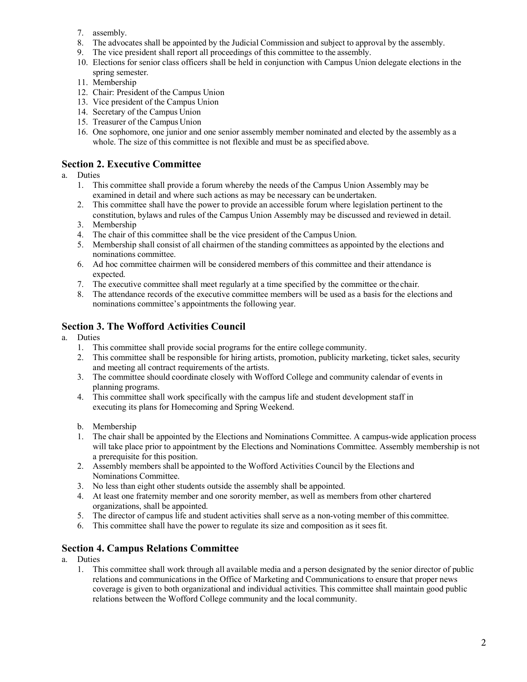- 7. assembly.
- 8. The advocates shall be appointed by the Judicial Commission and subject to approval by the assembly.
- 9. The vice president shall report all proceedings of this committee to the assembly.
- 10. Elections for senior class officers shall be held in conjunction with Campus Union delegate elections in the spring semester.
- 11. Membership
- 12. Chair: President of the Campus Union
- 13. Vice president of the Campus Union
- 14. Secretary of the Campus Union
- 15. Treasurer of the Campus Union
- 16. One sophomore, one junior and one senior assembly member nominated and elected by the assembly as a whole. The size of this committee is not flexible and must be as specified above.

#### **Section 2. Executive Committee**

- a. Duties
	- 1. This committee shall provide a forum whereby the needs of the Campus Union Assembly may be examined in detail and where such actions as may be necessary can be undertaken.
	- 2. This committee shall have the power to provide an accessible forum where legislation pertinent to the constitution, bylaws and rules of the Campus Union Assembly may be discussed and reviewed in detail.
	- 3. Membership
	- 4. The chair of this committee shall be the vice president of the Campus Union.
	- 5. Membership shall consist of all chairmen of the standing committees as appointed by the elections and nominations committee.
	- 6. Ad hoc committee chairmen will be considered members of this committee and their attendance is expected.
	- 7. The executive committee shall meet regularly at a time specified by the committee or the chair.
	- 8. The attendance records of the executive committee members will be used as a basis for the elections and nominations committee's appointments the following year.

#### **Section 3. The Wofford Activities Council**

- a. Duties
	- 1. This committee shall provide social programs for the entire college community.
	- 2. This committee shall be responsible for hiring artists, promotion, publicity marketing, ticket sales, security and meeting all contract requirements of the artists.
	- 3. The committee should coordinate closely with Wofford College and community calendar of events in planning programs.
	- 4. This committee shall work specifically with the campus life and student development staff in executing its plans for Homecoming and Spring Weekend.
	- b. Membership
	- 1. The chair shall be appointed by the Elections and Nominations Committee. A campus-wide application process will take place prior to appointment by the Elections and Nominations Committee. Assembly membership is not a prerequisite for this position.
	- 2. Assembly members shall be appointed to the Wofford Activities Council by the Elections and Nominations Committee.
	- 3. No less than eight other students outside the assembly shall be appointed.
	- 4. At least one fraternity member and one sorority member, as well as members from other chartered organizations, shall be appointed.
	- 5. The director of campus life and student activities shall serve as a non-voting member of this committee.
	- 6. This committee shall have the power to regulate its size and composition as it seesfit.

#### **Section 4. Campus Relations Committee**

- a. Duties
	- 1. This committee shall work through all available media and a person designated by the senior director of public relations and communications in the Office of Marketing and Communications to ensure that proper news coverage is given to both organizational and individual activities. This committee shall maintain good public relations between the Wofford College community and the local community.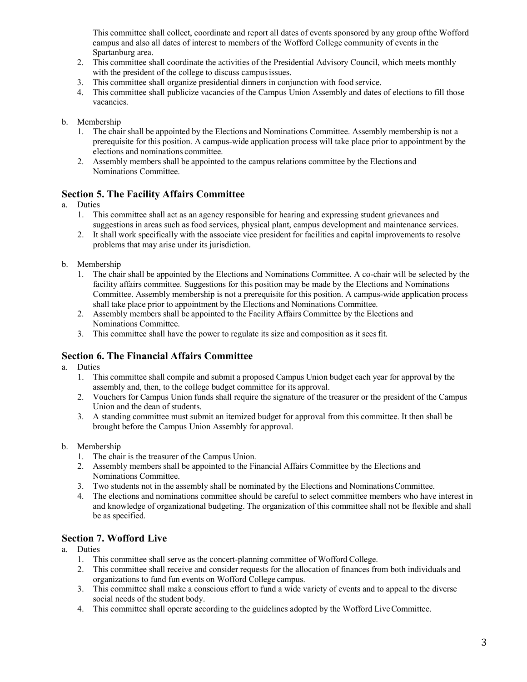This committee shall collect, coordinate and report all dates of events sponsored by any group ofthe Wofford campus and also all dates of interest to members of the Wofford College community of events in the Spartanburg area.

- 2. This committee shall coordinate the activities of the Presidential Advisory Council, which meets monthly with the president of the college to discuss campus issues.
- 3. This committee shall organize presidential dinners in conjunction with food service.
- 4. This committee shall publicize vacancies of the Campus Union Assembly and dates of elections to fill those vacancies.
- b. Membership
	- 1. The chair shall be appointed by the Elections and Nominations Committee. Assembly membership is not a prerequisite for this position. A campus-wide application process will take place prior to appointment by the elections and nominations committee.
	- 2. Assembly members shall be appointed to the campus relations committee by the Elections and Nominations Committee.

#### **Section 5. The Facility Affairs Committee**

- a. Duties
	- 1. This committee shall act as an agency responsible for hearing and expressing student grievances and suggestions in areas such as food services, physical plant, campus development and maintenance services.
	- 2. It shall work specifically with the associate vice president for facilities and capital improvements to resolve problems that may arise under its jurisdiction.
- b. Membership
	- 1. The chair shall be appointed by the Elections and Nominations Committee. A co-chair will be selected by the facility affairs committee. Suggestions for this position may be made by the Elections and Nominations Committee. Assembly membership is not a prerequisite for this position. A campus-wide application process shall take place prior to appointment by the Elections and Nominations Committee.
	- 2. Assembly members shall be appointed to the Facility Affairs Committee by the Elections and Nominations Committee.
	- 3. This committee shall have the power to regulate its size and composition as it seesfit.

#### **Section 6. The Financial Affairs Committee**

- a. Duties
	- 1. This committee shall compile and submit a proposed Campus Union budget each year for approval by the assembly and, then, to the college budget committee for its approval.
	- 2. Vouchers for Campus Union funds shall require the signature of the treasurer or the president of the Campus Union and the dean of students.
	- 3. A standing committee must submit an itemized budget for approval from this committee. It then shall be brought before the Campus Union Assembly for approval.
- b. Membership
	- 1. The chair is the treasurer of the Campus Union.
	- 2. Assembly members shall be appointed to the Financial Affairs Committee by the Elections and Nominations Committee.
	- 3. Two students not in the assembly shall be nominated by the Elections and NominationsCommittee.
	- 4. The elections and nominations committee should be careful to select committee members who have interest in and knowledge of organizational budgeting. The organization of this committee shall not be flexible and shall be as specified.

#### **Section 7. Wofford Live**

- a. Duties
	- 1. This committee shall serve as the concert-planning committee of Wofford College.
	- 2. This committee shall receive and consider requests for the allocation of finances from both individuals and organizations to fund fun events on Wofford College campus.
	- 3. This committee shall make a conscious effort to fund a wide variety of events and to appeal to the diverse social needs of the student body.
	- 4. This committee shall operate according to the guidelines adopted by the Wofford LiveCommittee.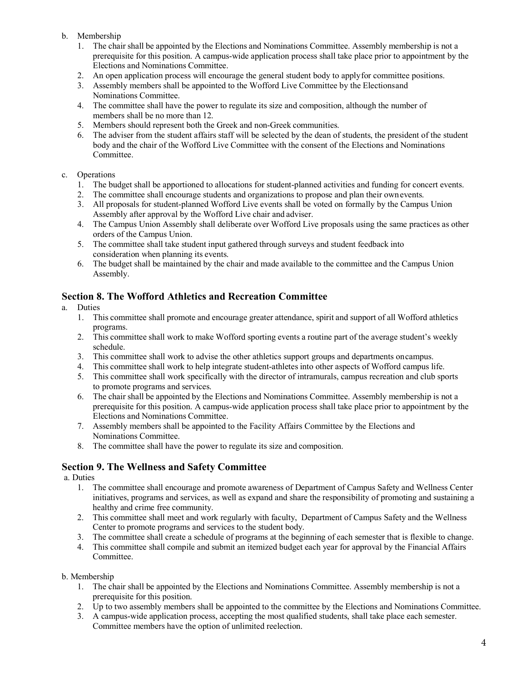#### b. Membership

- 1. The chair shall be appointed by the Elections and Nominations Committee. Assembly membership is not a prerequisite for this position. A campus-wide application process shall take place prior to appointment by the Elections and Nominations Committee.
- 2. An open application process will encourage the general student body to applyfor committee positions.
- 3. Assembly members shall be appointed to the Wofford Live Committee by the Electionsand Nominations Committee.
- 4. The committee shall have the power to regulate its size and composition, although the number of members shall be no more than 12.
- 5. Members should represent both the Greek and non-Greek communities.
- 6. The adviser from the student affairs staff will be selected by the dean of students, the president of the student body and the chair of the Wofford Live Committee with the consent of the Elections and Nominations Committee.

#### c. Operations

- 1. The budget shall be apportioned to allocations for student-planned activities and funding for concert events.
- 2. The committee shall encourage students and organizations to propose and plan their ownevents.
- 3. All proposals for student-planned Wofford Live events shall be voted on formally by the Campus Union Assembly after approval by the Wofford Live chair and adviser.
- 4. The Campus Union Assembly shall deliberate over Wofford Live proposals using the same practices as other orders of the Campus Union.
- 5. The committee shall take student input gathered through surveys and student feedback into consideration when planning its events.
- 6. The budget shall be maintained by the chair and made available to the committee and the Campus Union Assembly.

#### **Section 8. The Wofford Athletics and Recreation Committee**

- a. Duties
	- 1. This committee shall promote and encourage greater attendance, spirit and support of all Wofford athletics programs.
	- 2. This committee shall work to make Wofford sporting events a routine part of the average student's weekly schedule.
	- 3. This committee shall work to advise the other athletics support groups and departments oncampus.
	- 4. This committee shall work to help integrate student-athletes into other aspects of Wofford campus life.
	- 5. This committee shall work specifically with the director of intramurals, campus recreation and club sports to promote programs and services.
	- 6. The chair shall be appointed by the Elections and Nominations Committee. Assembly membership is not a prerequisite for this position. A campus-wide application process shall take place prior to appointment by the Elections and Nominations Committee.
	- 7. Assembly members shall be appointed to the Facility Affairs Committee by the Elections and Nominations Committee.
	- 8. The committee shall have the power to regulate its size and composition.

#### **Section 9. The Wellness and Safety Committee**

a. Duties

- 1. The committee shall encourage and promote awareness of Department of Campus Safety and Wellness Center initiatives, programs and services, as well as expand and share the responsibility of promoting and sustaining a healthy and crime free community.
- 2. This committee shall meet and work regularly with faculty, Department of Campus Safety and the Wellness Center to promote programs and services to the student body.
- 3. The committee shall create a schedule of programs at the beginning of each semester that is flexible to change.
- 4. This committee shall compile and submit an itemized budget each year for approval by the Financial Affairs Committee.

#### b. Membership

- 1. The chair shall be appointed by the Elections and Nominations Committee. Assembly membership is not a prerequisite for this position.
- 2. Up to two assembly members shall be appointed to the committee by the Elections and Nominations Committee.
- 3. A campus-wide application process, accepting the most qualified students, shall take place each semester. Committee members have the option of unlimited reelection.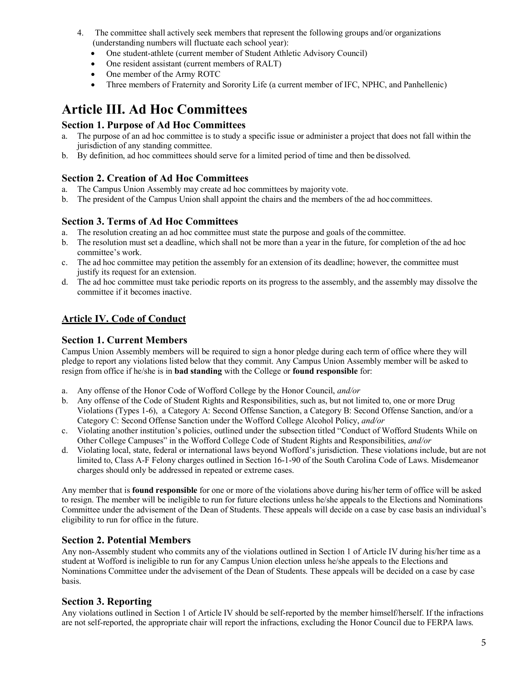- 4. The committee shall actively seek members that represent the following groups and/or organizations (understanding numbers will fluctuate each school year):
	- One student-athlete (current member of Student Athletic Advisory Council)
	- One resident assistant (current members of RALT)
	- One member of the Army ROTC
	- Three members of Fraternity and Sorority Life (a current member of IFC, NPHC, and Panhellenic)

### **Article III. Ad Hoc Committees**

#### **Section 1. Purpose of Ad Hoc Committees**

- a. The purpose of an ad hoc committee is to study a specific issue or administer a project that does not fall within the jurisdiction of any standing committee.
- b. By definition, ad hoc committees should serve for a limited period of time and then be dissolved.

#### **Section 2. Creation of Ad Hoc Committees**

- a. The Campus Union Assembly may create ad hoc committees by majority vote.
- b. The president of the Campus Union shall appoint the chairs and the members of the ad hoccommittees.

#### **Section 3. Terms of Ad Hoc Committees**

- a. The resolution creating an ad hoc committee must state the purpose and goals of the committee.
- b. The resolution must set a deadline, which shall not be more than a year in the future, for completion of the ad hoc committee's work.
- c. The ad hoc committee may petition the assembly for an extension of its deadline; however, the committee must justify its request for an extension.
- d. The ad hoc committee must take periodic reports on its progress to the assembly, and the assembly may dissolve the committee if it becomes inactive.

#### **Article IV. Code of Conduct**

#### **Section 1. Current Members**

Campus Union Assembly members will be required to sign a honor pledge during each term of office where they will pledge to report any violations listed below that they commit. Any Campus Union Assembly member will be asked to resign from office if he/she is in **bad standing** with the College or **found responsible** for:

- a. Any offense of the Honor Code of Wofford College by the Honor Council, *and/or*
- b. Any offense of the Code of Student Rights and Responsibilities, such as, but not limited to, one or more Drug Violations (Types 1-6), a Category A: Second Offense Sanction, a Category B: Second Offense Sanction, and/or a Category C: Second Offense Sanction under the Wofford College Alcohol Policy, *and/or*
- c. Violating another institution's policies, outlined under the subsection titled "Conduct of Wofford Students While on Other College Campuses" in the Wofford College Code of Student Rights and Responsibilities, *and/or*
- d. Violating local, state, federal or international laws beyond Wofford's jurisdiction. These violations include, but are not limited to, Class A-F Felony charges outlined in Section 16-1-90 of the South Carolina Code of Laws. Misdemeanor charges should only be addressed in repeated or extreme cases.

Any member that is **found responsible** for one or more of the violations above during his/her term of office will be asked to resign. The member will be ineligible to run for future elections unless he/she appeals to the Elections and Nominations Committee under the advisement of the Dean of Students. These appeals will decide on a case by case basis an individual's eligibility to run for office in the future.

#### **Section 2. Potential Members**

Any non-Assembly student who commits any of the violations outlined in Section 1 of Article IV during his/her time as a student at Wofford is ineligible to run for any Campus Union election unless he/she appeals to the Elections and Nominations Committee under the advisement of the Dean of Students. These appeals will be decided on a case by case basis.

#### **Section 3. Reporting**

Any violations outlined in Section 1 of Article IV should be self-reported by the member himself/herself. If the infractions are not self-reported, the appropriate chair will report the infractions, excluding the Honor Council due to FERPA laws.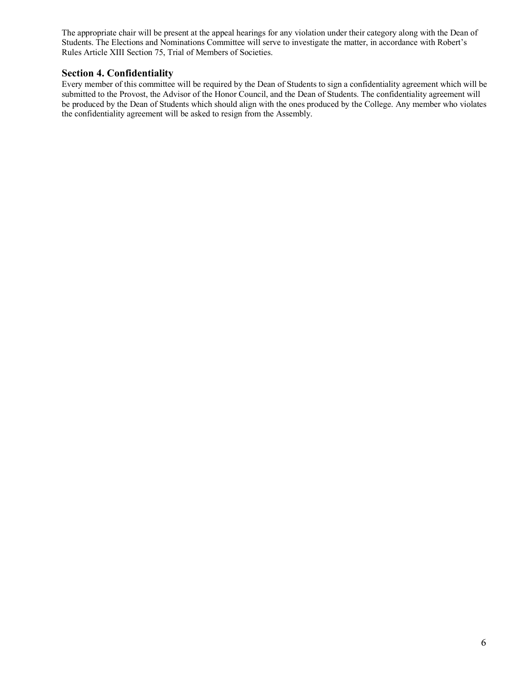The appropriate chair will be present at the appeal hearings for any violation under their category along with the Dean of Students. The Elections and Nominations Committee will serve to investigate the matter, in accordance with Robert's Rules Article XIII Section 75, Trial of Members of Societies.

#### **Section 4. Confidentiality**

Every member of this committee will be required by the Dean of Students to sign a confidentiality agreement which will be submitted to the Provost, the Advisor of the Honor Council, and the Dean of Students. The confidentiality agreement will be produced by the Dean of Students which should align with the ones produced by the College. Any member who violates the confidentiality agreement will be asked to resign from the Assembly.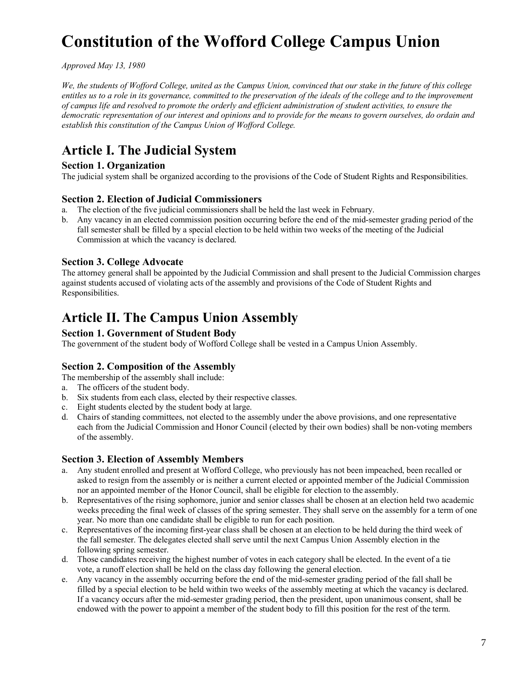# **Constitution of the Wofford College Campus Union**

*Approved May 13, 1980*

*We, the students of Wofford College, united as the Campus Union, convinced that our stake in the future of this college entitles us to a role in its governance, committed to the preservation of the ideals of the college and to the improvement of campus life and resolved to promote the orderly and efficient administration of student activities, to ensure the democratic representation of our interest and opinions and to provide for the means to govern ourselves, do ordain and establish this constitution of the Campus Union of Wofford College.*

## **Article I. The Judicial System**

#### **Section 1. Organization**

The judicial system shall be organized according to the provisions of the Code of Student Rights and Responsibilities.

#### **Section 2. Election of Judicial Commissioners**

- a. The election of the five judicial commissioners shall be held the last week in February.
- b. Any vacancy in an elected commission position occurring before the end of the mid-semester grading period of the fall semester shall be filled by a special election to be held within two weeks of the meeting of the Judicial Commission at which the vacancy is declared.

#### **Section 3. College Advocate**

The attorney general shall be appointed by the Judicial Commission and shall present to the Judicial Commission charges against students accused of violating acts of the assembly and provisions of the Code of Student Rights and Responsibilities.

### **Article II. The Campus Union Assembly**

#### **Section 1. Government of Student Body**

The government of the student body of Wofford College shall be vested in a Campus Union Assembly.

#### **Section 2. Composition of the Assembly**

The membership of the assembly shall include:

- a. The officers of the student body.
- b. Six students from each class, elected by their respective classes.
- c. Eight students elected by the student body at large.
- d. Chairs of standing committees, not elected to the assembly under the above provisions, and one representative each from the Judicial Commission and Honor Council (elected by their own bodies) shall be non-voting members of the assembly.

#### **Section 3. Election of Assembly Members**

- a. Any student enrolled and present at Wofford College, who previously has not been impeached, been recalled or asked to resign from the assembly or is neither a current elected or appointed member of the Judicial Commission nor an appointed member of the Honor Council, shall be eligible for election to the assembly.
- b. Representatives of the rising sophomore, junior and senior classes shall be chosen at an election held two academic weeks preceding the final week of classes of the spring semester. They shall serve on the assembly for a term of one year. No more than one candidate shall be eligible to run for each position.
- c. Representatives of the incoming first-year class shall be chosen at an election to be held during the third week of the fall semester. The delegates elected shall serve until the next Campus Union Assembly election in the following spring semester.
- d. Those candidates receiving the highest number of votes in each category shall be elected. In the event of a tie vote, a runoff election shall be held on the class day following the general election.
- e. Any vacancy in the assembly occurring before the end of the mid-semester grading period of the fall shall be filled by a special election to be held within two weeks of the assembly meeting at which the vacancy is declared. If a vacancy occurs after the mid-semester grading period, then the president, upon unanimous consent, shall be endowed with the power to appoint a member of the student body to fill this position for the rest of the term.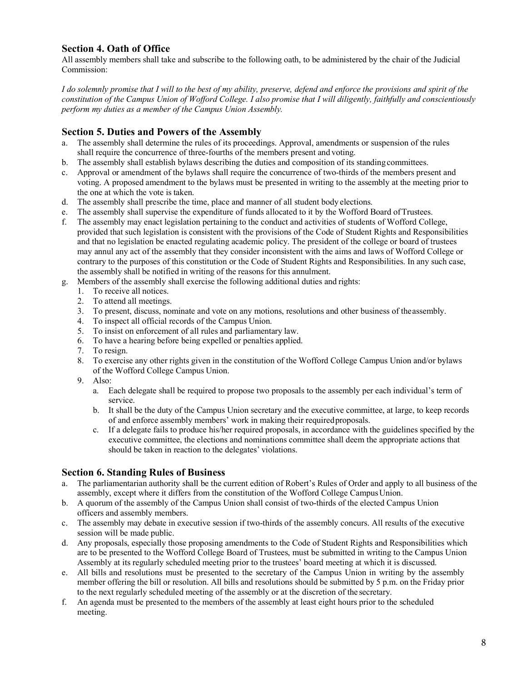#### **Section 4. Oath of Office**

All assembly members shall take and subscribe to the following oath, to be administered by the chair of the Judicial Commission:

*I do solemnly promise that I will to the best of my ability, preserve, defend and enforce the provisions and spirit of the constitution of the Campus Union of Wofford College. I also promise that I will diligently, faithfully and conscientiously perform my duties as a member of the Campus Union Assembly.*

#### **Section 5. Duties and Powers of the Assembly**

- a. The assembly shall determine the rules of its proceedings. Approval, amendments or suspension of the rules shall require the concurrence of three-fourths of the members present and voting.
- b. The assembly shall establish bylaws describing the duties and composition of its standingcommittees.
- c. Approval or amendment of the bylaws shall require the concurrence of two-thirds of the members present and voting. A proposed amendment to the bylaws must be presented in writing to the assembly at the meeting prior to the one at which the vote is taken.
- d. The assembly shall prescribe the time, place and manner of all student body elections.
- e. The assembly shall supervise the expenditure of funds allocated to it by the Wofford Board ofTrustees.
- f. The assembly may enact legislation pertaining to the conduct and activities of students of Wofford College, provided that such legislation is consistent with the provisions of the Code of Student Rights and Responsibilities and that no legislation be enacted regulating academic policy. The president of the college or board of trustees may annul any act of the assembly that they consider inconsistent with the aims and laws of Wofford College or contrary to the purposes of this constitution or the Code of Student Rights and Responsibilities. In any such case, the assembly shall be notified in writing of the reasons for this annulment.
- g. Members of the assembly shall exercise the following additional duties and rights:
	- 1. To receive all notices.
	- 2. To attend all meetings.
	- 3. To present, discuss, nominate and vote on any motions, resolutions and other business of theassembly.
	- 4. To inspect all official records of the Campus Union.
	- 5. To insist on enforcement of all rules and parliamentary law.
	- 6. To have a hearing before being expelled or penalties applied.
	- 7. To resign.
	- 8. To exercise any other rights given in the constitution of the Wofford College Campus Union and/or bylaws of the Wofford College Campus Union.
	- 9. Also:
		- a. Each delegate shall be required to propose two proposals to the assembly per each individual's term of service.
		- b. It shall be the duty of the Campus Union secretary and the executive committee, at large, to keep records of and enforce assembly members' work in making their requiredproposals.
		- c. If a delegate fails to produce his/her required proposals, in accordance with the guidelines specified by the executive committee, the elections and nominations committee shall deem the appropriate actions that should be taken in reaction to the delegates' violations.

#### **Section 6. Standing Rules of Business**

- a. The parliamentarian authority shall be the current edition of Robert's Rules of Order and apply to all business of the assembly, except where it differs from the constitution of the Wofford College Campus Union.
- b. A quorum of the assembly of the Campus Union shall consist of two-thirds of the elected Campus Union officers and assembly members.
- c. The assembly may debate in executive session if two-thirds of the assembly concurs. All results of the executive session will be made public.
- d. Any proposals, especially those proposing amendments to the Code of Student Rights and Responsibilities which are to be presented to the Wofford College Board of Trustees, must be submitted in writing to the Campus Union Assembly at its regularly scheduled meeting prior to the trustees' board meeting at which it is discussed.
- e. All bills and resolutions must be presented to the secretary of the Campus Union in writing by the assembly member offering the bill or resolution. All bills and resolutions should be submitted by 5 p.m. on the Friday prior to the next regularly scheduled meeting of the assembly or at the discretion of the secretary.
- f. An agenda must be presented to the members of the assembly at least eight hours prior to the scheduled meeting.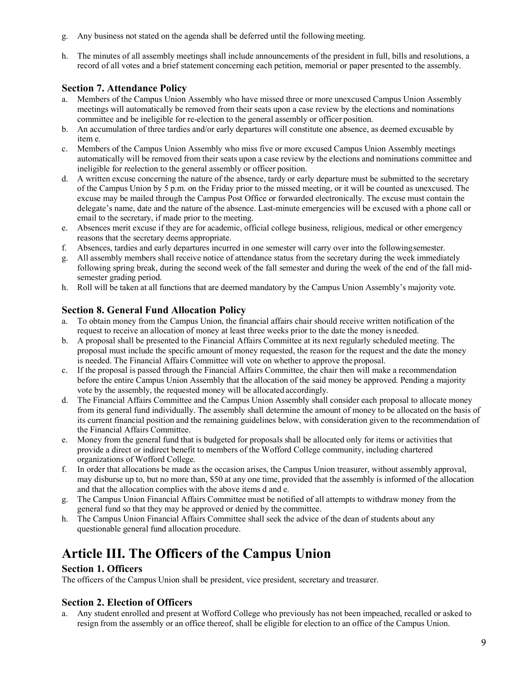- g. Any business not stated on the agenda shall be deferred until the following meeting.
- h. The minutes of all assembly meetings shall include announcements of the president in full, bills and resolutions, a record of all votes and a brief statement concerning each petition, memorial or paper presented to the assembly.

#### **Section 7. Attendance Policy**

- a. Members of the Campus Union Assembly who have missed three or more unexcused Campus Union Assembly meetings will automatically be removed from their seats upon a case review by the elections and nominations committee and be ineligible for re-election to the general assembly or officer position.
- b. An accumulation of three tardies and/or early departures will constitute one absence, as deemed excusable by item e.
- c. Members of the Campus Union Assembly who miss five or more excused Campus Union Assembly meetings automatically will be removed from their seats upon a case review by the elections and nominations committee and ineligible for reelection to the general assembly or officer position.
- d. A written excuse concerning the nature of the absence, tardy or early departure must be submitted to the secretary of the Campus Union by 5 p.m. on the Friday prior to the missed meeting, or it will be counted as unexcused. The excuse may be mailed through the Campus Post Office or forwarded electronically. The excuse must contain the delegate's name, date and the nature of the absence. Last-minute emergencies will be excused with a phone call or email to the secretary, if made prior to the meeting.
- e. Absences merit excuse if they are for academic, official college business, religious, medical or other emergency reasons that the secretary deems appropriate.
- f. Absences, tardies and early departures incurred in one semester will carry over into the followingsemester.
- g. All assembly members shall receive notice of attendance status from the secretary during the week immediately following spring break, during the second week of the fall semester and during the week of the end of the fall midsemester grading period.
- h. Roll will be taken at all functions that are deemed mandatory by the Campus Union Assembly's majority vote.

#### **Section 8. General Fund Allocation Policy**

- a. To obtain money from the Campus Union, the financial affairs chair should receive written notification of the request to receive an allocation of money at least three weeks prior to the date the money isneeded.
- b. A proposal shall be presented to the Financial Affairs Committee at its next regularly scheduled meeting. The proposal must include the specific amount of money requested, the reason for the request and the date the money is needed. The Financial Affairs Committee will vote on whether to approve the proposal.
- c. If the proposal is passed through the Financial Affairs Committee, the chair then will make a recommendation before the entire Campus Union Assembly that the allocation of the said money be approved. Pending a majority vote by the assembly, the requested money will be allocated accordingly.
- d. The Financial Affairs Committee and the Campus Union Assembly shall consider each proposal to allocate money from its general fund individually. The assembly shall determine the amount of money to be allocated on the basis of its current financial position and the remaining guidelines below, with consideration given to the recommendation of the Financial Affairs Committee.
- e. Money from the general fund that is budgeted for proposals shall be allocated only for items or activities that provide a direct or indirect benefit to members of the Wofford College community, including chartered organizations of Wofford College.
- f. In order that allocations be made as the occasion arises, the Campus Union treasurer, without assembly approval, may disburse up to, but no more than, \$50 at any one time, provided that the assembly is informed of the allocation and that the allocation complies with the above items d and e.
- g. The Campus Union Financial Affairs Committee must be notified of all attempts to withdraw money from the general fund so that they may be approved or denied by the committee.
- h. The Campus Union Financial Affairs Committee shall seek the advice of the dean of students about any questionable general fund allocation procedure.

# **Article III. The Officers of the Campus Union**

#### **Section 1. Officers**

The officers of the Campus Union shall be president, vice president, secretary and treasurer.

#### **Section 2. Election of Officers**

a. Any student enrolled and present at Wofford College who previously has not been impeached, recalled or asked to resign from the assembly or an office thereof, shall be eligible for election to an office of the Campus Union.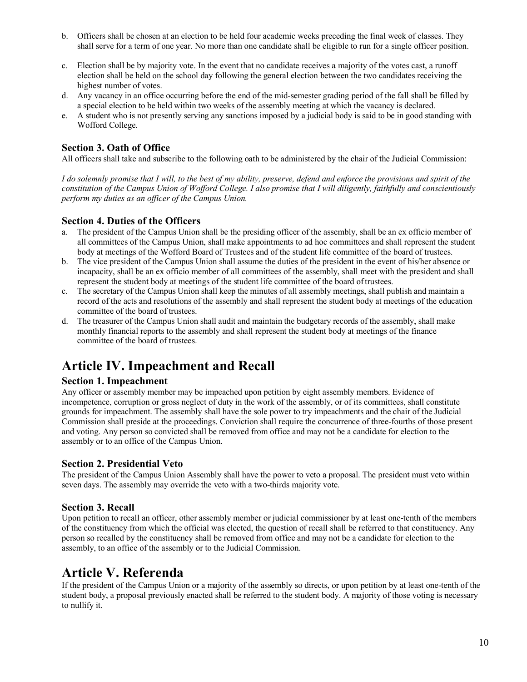- b. Officers shall be chosen at an election to be held four academic weeks preceding the final week of classes. They shall serve for a term of one year. No more than one candidate shall be eligible to run for a single officer position.
- c. Election shall be by majority vote. In the event that no candidate receives a majority of the votes cast, a runoff election shall be held on the school day following the general election between the two candidates receiving the highest number of votes.
- d. Any vacancy in an office occurring before the end of the mid-semester grading period of the fall shall be filled by a special election to be held within two weeks of the assembly meeting at which the vacancy is declared.
- e. A student who is not presently serving any sanctions imposed by a judicial body is said to be in good standing with Wofford College.

#### **Section 3. Oath of Office**

All officers shall take and subscribe to the following oath to be administered by the chair of the Judicial Commission:

*I do solemnly promise that I will, to the best of my ability, preserve, defend and enforce the provisions and spirit of the constitution of the Campus Union of Wofford College. I also promise that I will diligently, faithfully and conscientiously perform my duties as an officer of the Campus Union.*

#### **Section 4. Duties of the Officers**

- a. The president of the Campus Union shall be the presiding officer of the assembly, shall be an ex officio member of all committees of the Campus Union, shall make appointments to ad hoc committees and shall represent the student body at meetings of the Wofford Board of Trustees and of the student life committee of the board of trustees.
- b. The vice president of the Campus Union shall assume the duties of the president in the event of his/her absence or incapacity, shall be an ex officio member of all committees of the assembly, shall meet with the president and shall represent the student body at meetings of the student life committee of the board oftrustees.
- c. The secretary of the Campus Union shall keep the minutes of all assembly meetings, shall publish and maintain a record of the acts and resolutions of the assembly and shall represent the student body at meetings of the education committee of the board of trustees.
- d. The treasurer of the Campus Union shall audit and maintain the budgetary records of the assembly, shall make monthly financial reports to the assembly and shall represent the student body at meetings of the finance committee of the board of trustees.

## **Article IV. Impeachment and Recall**

#### **Section 1. Impeachment**

Any officer or assembly member may be impeached upon petition by eight assembly members. Evidence of incompetence, corruption or gross neglect of duty in the work of the assembly, or of its committees, shall constitute grounds for impeachment. The assembly shall have the sole power to try impeachments and the chair of the Judicial Commission shall preside at the proceedings. Conviction shall require the concurrence of three-fourths of those present and voting. Any person so convicted shall be removed from office and may not be a candidate for election to the assembly or to an office of the Campus Union.

#### **Section 2. Presidential Veto**

The president of the Campus Union Assembly shall have the power to veto a proposal. The president must veto within seven days. The assembly may override the veto with a two-thirds majority vote.

#### **Section 3. Recall**

Upon petition to recall an officer, other assembly member or judicial commissioner by at least one-tenth of the members of the constituency from which the official was elected, the question of recall shall be referred to that constituency. Any person so recalled by the constituency shall be removed from office and may not be a candidate for election to the assembly, to an office of the assembly or to the Judicial Commission.

### **Article V. Referenda**

If the president of the Campus Union or a majority of the assembly so directs, or upon petition by at least one-tenth of the student body, a proposal previously enacted shall be referred to the student body. A majority of those voting is necessary to nullify it.